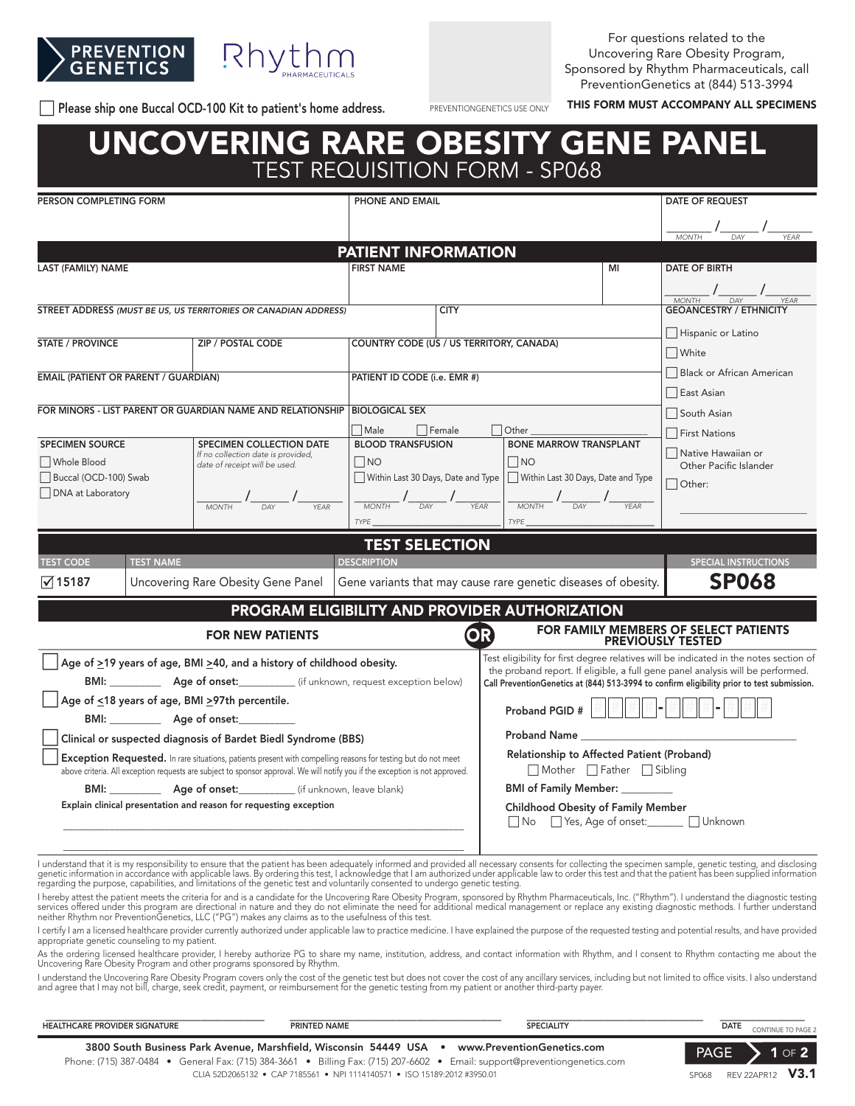



For questions related to the Uncovering Rare Obesity Program, Sponsored by Rhythm Pharmaceuticals, call PreventionGenetics at (844) 513-3994

This FORM MUST ACCOMPANY ALL SPECIMENS PREVENTIONGENETICS USE ONLY THIS FORM MUST ACCOMPANY ALL SPECIMENS

PREVENTIONGENETICS USE ONLY

# UNCOVERING RARE OBESITY GENE PANEL TEST REQUISITION FORM - SP068

| PERSON COMPLETING FORM                                                                                                                                                                                                                               |                  |                                                                                                                                                                                                                                                                                                                                                                                                                       | PHONE AND EMAIL                                  |                                                                                                                                                                              |                                                                                                                                                                                                                                                                                                                                                                                                                                 | <b>DATE OF REQUEST</b>   |                                                                                       |
|------------------------------------------------------------------------------------------------------------------------------------------------------------------------------------------------------------------------------------------------------|------------------|-----------------------------------------------------------------------------------------------------------------------------------------------------------------------------------------------------------------------------------------------------------------------------------------------------------------------------------------------------------------------------------------------------------------------|--------------------------------------------------|------------------------------------------------------------------------------------------------------------------------------------------------------------------------------|---------------------------------------------------------------------------------------------------------------------------------------------------------------------------------------------------------------------------------------------------------------------------------------------------------------------------------------------------------------------------------------------------------------------------------|--------------------------|---------------------------------------------------------------------------------------|
|                                                                                                                                                                                                                                                      |                  |                                                                                                                                                                                                                                                                                                                                                                                                                       |                                                  |                                                                                                                                                                              |                                                                                                                                                                                                                                                                                                                                                                                                                                 |                          | $\frac{1}{\frac{1}{MONTH}}$ / $\frac{1}{\frac{1}{MON}}$ / $\frac{1}{\frac{1}{MONTH}}$ |
|                                                                                                                                                                                                                                                      |                  |                                                                                                                                                                                                                                                                                                                                                                                                                       | <b>PATIENT INFORMATION</b>                       |                                                                                                                                                                              |                                                                                                                                                                                                                                                                                                                                                                                                                                 |                          |                                                                                       |
| <b>LAST (FAMILY) NAME</b>                                                                                                                                                                                                                            |                  |                                                                                                                                                                                                                                                                                                                                                                                                                       | <b>FIRST NAME</b>                                |                                                                                                                                                                              |                                                                                                                                                                                                                                                                                                                                                                                                                                 | MI                       | DATE OF BIRTH                                                                         |
|                                                                                                                                                                                                                                                      |                  |                                                                                                                                                                                                                                                                                                                                                                                                                       |                                                  |                                                                                                                                                                              |                                                                                                                                                                                                                                                                                                                                                                                                                                 |                          |                                                                                       |
|                                                                                                                                                                                                                                                      |                  |                                                                                                                                                                                                                                                                                                                                                                                                                       |                                                  |                                                                                                                                                                              |                                                                                                                                                                                                                                                                                                                                                                                                                                 |                          |                                                                                       |
| STREET ADDRESS (MUST BE US, US TERRITORIES OR CANADIAN ADDRESS)                                                                                                                                                                                      |                  |                                                                                                                                                                                                                                                                                                                                                                                                                       | <b>CITY</b>                                      |                                                                                                                                                                              |                                                                                                                                                                                                                                                                                                                                                                                                                                 |                          |                                                                                       |
|                                                                                                                                                                                                                                                      |                  |                                                                                                                                                                                                                                                                                                                                                                                                                       |                                                  |                                                                                                                                                                              |                                                                                                                                                                                                                                                                                                                                                                                                                                 | Hispanic or Latino       |                                                                                       |
| <b>STATE / PROVINCE</b><br><b>ZIP / POSTAL CODE</b>                                                                                                                                                                                                  |                  | COUNTRY CODE (US / US TERRITORY, CANADA)                                                                                                                                                                                                                                                                                                                                                                              |                                                  |                                                                                                                                                                              | $\Box$ White                                                                                                                                                                                                                                                                                                                                                                                                                    |                          |                                                                                       |
| <b>EMAIL (PATIENT OR PARENT / GUARDIAN)</b>                                                                                                                                                                                                          |                  |                                                                                                                                                                                                                                                                                                                                                                                                                       | PATIENT ID CODE (i.e. EMR #)                     |                                                                                                                                                                              |                                                                                                                                                                                                                                                                                                                                                                                                                                 |                          | Black or African American                                                             |
|                                                                                                                                                                                                                                                      |                  |                                                                                                                                                                                                                                                                                                                                                                                                                       |                                                  |                                                                                                                                                                              |                                                                                                                                                                                                                                                                                                                                                                                                                                 |                          | East Asian                                                                            |
|                                                                                                                                                                                                                                                      |                  | FOR MINORS - LIST PARENT OR GUARDIAN NAME AND RELATIONSHIP                                                                                                                                                                                                                                                                                                                                                            | <b>BIOLOGICAL SEX</b>                            |                                                                                                                                                                              |                                                                                                                                                                                                                                                                                                                                                                                                                                 |                          | South Asian                                                                           |
|                                                                                                                                                                                                                                                      |                  |                                                                                                                                                                                                                                                                                                                                                                                                                       | $\Box$ Male                                      | $\Box$ Female                                                                                                                                                                | $\Box$ Other                                                                                                                                                                                                                                                                                                                                                                                                                    |                          | First Nations                                                                         |
| <b>SPECIMEN SOURCE</b><br>□ Whole Blood                                                                                                                                                                                                              |                  | SPECIMEN COLLECTION DATE<br>If no collection date is provided,                                                                                                                                                                                                                                                                                                                                                        | <b>BLOOD TRANSFUSION</b><br>$\square$ no         |                                                                                                                                                                              | <b>BONE MARROW TRANSPLANT</b>                                                                                                                                                                                                                                                                                                                                                                                                   |                          | Native Hawaiian or                                                                    |
| Buccal (OCD-100) Swab                                                                                                                                                                                                                                |                  | date of receipt will be used.                                                                                                                                                                                                                                                                                                                                                                                         |                                                  |                                                                                                                                                                              | $\Box$ no<br>  Within Last 30 Days, Date and Type     Within Last 30 Days, Date and Type                                                                                                                                                                                                                                                                                                                                        |                          | Other Pacific Islander                                                                |
| □ DNA at Laboratory                                                                                                                                                                                                                                  |                  |                                                                                                                                                                                                                                                                                                                                                                                                                       |                                                  |                                                                                                                                                                              |                                                                                                                                                                                                                                                                                                                                                                                                                                 |                          | $\Box$ Other:                                                                         |
|                                                                                                                                                                                                                                                      |                  | $\frac{1}{\sqrt{1-\frac{1}{1-\frac{1}{1-\frac{1}{1-\frac{1}{1-\frac{1}{1-\frac{1}{1-\frac{1}{1-\frac{1}{1-\frac{1}{1-\frac{1}{1-\frac{1}{1-\frac{1}{1-\frac{1}{1-\frac{1}{1-\frac{1}{1-\frac{1}{1-\frac{1}{1-\frac{1}{1-\frac{1}{1-\frac{1}{1-\frac{1}{1-\frac{1}{1-\frac{1}{1-\frac{1}{1-\frac{1}{1-\frac{1}{1-\frac{1}{1-\frac{1}{1-\frac{1}{1-\frac{1}{1-\frac{1}{1-\frac{1}{1-\frac{1}{1-\frac{1}{1-\frac{1}{1-\$ | $\frac{1}{\frac{1}{\frac{1}{N}N}{\frac{1}{N}N}}$ |                                                                                                                                                                              | $\frac{1}{\sqrt{1-\frac{1}{N}}}\frac{1}{\sqrt{1-\frac{1}{N}}}\frac{1}{\sqrt{1-\frac{1}{N}}}\frac{1}{\sqrt{1-\frac{1}{N}}}\frac{1}{\sqrt{1-\frac{1}{N}}}\frac{1}{\sqrt{1-\frac{1}{N}}}\frac{1}{\sqrt{1-\frac{1}{N}}}\frac{1}{\sqrt{1-\frac{1}{N}}}\frac{1}{\sqrt{1-\frac{1}{N}}}\frac{1}{\sqrt{1-\frac{1}{N}}}\frac{1}{\sqrt{1-\frac{1}{N}}}\frac{1}{\sqrt{1-\frac{1}{N}}}\frac{1}{\sqrt{1-\frac{1}{N}}}\frac{1}{\sqrt{1-\frac{$ |                          |                                                                                       |
|                                                                                                                                                                                                                                                      |                  |                                                                                                                                                                                                                                                                                                                                                                                                                       | TYPE                                             |                                                                                                                                                                              |                                                                                                                                                                                                                                                                                                                                                                                                                                 |                          |                                                                                       |
|                                                                                                                                                                                                                                                      |                  |                                                                                                                                                                                                                                                                                                                                                                                                                       | <b>TEST SELECTION</b>                            |                                                                                                                                                                              |                                                                                                                                                                                                                                                                                                                                                                                                                                 |                          |                                                                                       |
| <b>TEST CODE</b>                                                                                                                                                                                                                                     | <b>TEST NAME</b> |                                                                                                                                                                                                                                                                                                                                                                                                                       | <b>DESCRIPTION</b>                               |                                                                                                                                                                              |                                                                                                                                                                                                                                                                                                                                                                                                                                 |                          | <b>SPECIAL INSTRUCTIONS</b>                                                           |
| $\sqrt{15187}$                                                                                                                                                                                                                                       |                  | Uncovering Rare Obesity Gene Panel                                                                                                                                                                                                                                                                                                                                                                                    |                                                  | Gene variants that may cause rare genetic diseases of obesity.                                                                                                               |                                                                                                                                                                                                                                                                                                                                                                                                                                 | <b>SP068</b>             |                                                                                       |
| PROGRAM ELIGIBILITY AND PROVIDER AUTHORIZATION                                                                                                                                                                                                       |                  |                                                                                                                                                                                                                                                                                                                                                                                                                       |                                                  |                                                                                                                                                                              |                                                                                                                                                                                                                                                                                                                                                                                                                                 |                          |                                                                                       |
|                                                                                                                                                                                                                                                      |                  | <b>FOR NEW PATIENTS</b>                                                                                                                                                                                                                                                                                                                                                                                               |                                                  | OR                                                                                                                                                                           |                                                                                                                                                                                                                                                                                                                                                                                                                                 | <b>PREVIOUSLY TESTED</b> | FOR FAMILY MEMBERS OF SELECT PATIENTS                                                 |
|                                                                                                                                                                                                                                                      |                  | Age of ≥19 years of age, BMI ≥40, and a history of childhood obesity.                                                                                                                                                                                                                                                                                                                                                 |                                                  |                                                                                                                                                                              |                                                                                                                                                                                                                                                                                                                                                                                                                                 |                          | Test eligibility for first degree relatives will be indicated in the notes section of |
| BMI: ________________ Age of onset: _______________ (if unknown, request exception below)                                                                                                                                                            |                  |                                                                                                                                                                                                                                                                                                                                                                                                                       |                                                  | the proband report. If eligible, a full gene panel analysis will be performed.<br>Call PreventionGenetics at (844) 513-3994 to confirm eligibility prior to test submission. |                                                                                                                                                                                                                                                                                                                                                                                                                                 |                          |                                                                                       |
| Age of ≤18 years of age, BMI ≥97th percentile.                                                                                                                                                                                                       |                  |                                                                                                                                                                                                                                                                                                                                                                                                                       |                                                  |                                                                                                                                                                              |                                                                                                                                                                                                                                                                                                                                                                                                                                 |                          |                                                                                       |
| BMI: Age of onset:                                                                                                                                                                                                                                   |                  |                                                                                                                                                                                                                                                                                                                                                                                                                       |                                                  |                                                                                                                                                                              |                                                                                                                                                                                                                                                                                                                                                                                                                                 |                          |                                                                                       |
| Clinical or suspected diagnosis of Bardet Biedl Syndrome (BBS)                                                                                                                                                                                       |                  |                                                                                                                                                                                                                                                                                                                                                                                                                       |                                                  | <b>Proband Name</b>                                                                                                                                                          |                                                                                                                                                                                                                                                                                                                                                                                                                                 |                          |                                                                                       |
| <b>Exception Requested.</b> In rare situations, patients present with compelling reasons for testing but do not meet<br>above criteria. All exception requests are subject to sponsor approval. We will notify you if the exception is not approved. |                  |                                                                                                                                                                                                                                                                                                                                                                                                                       |                                                  |                                                                                                                                                                              | Relationship to Affected Patient (Proband)<br>Mother Father Sibling                                                                                                                                                                                                                                                                                                                                                             |                          |                                                                                       |
| BMI: _______________ Age of onset: ______________ (if unknown, leave blank)                                                                                                                                                                          |                  |                                                                                                                                                                                                                                                                                                                                                                                                                       |                                                  |                                                                                                                                                                              | BMI of Family Member: ________                                                                                                                                                                                                                                                                                                                                                                                                  |                          |                                                                                       |
| Explain clinical presentation and reason for requesting exception                                                                                                                                                                                    |                  |                                                                                                                                                                                                                                                                                                                                                                                                                       |                                                  |                                                                                                                                                                              | <b>Childhood Obesity of Family Member</b><br>No Yes, Age of onset: Unknown                                                                                                                                                                                                                                                                                                                                                      |                          |                                                                                       |
|                                                                                                                                                                                                                                                      |                  |                                                                                                                                                                                                                                                                                                                                                                                                                       |                                                  |                                                                                                                                                                              |                                                                                                                                                                                                                                                                                                                                                                                                                                 |                          |                                                                                       |

I understand that it is my responsibility to ensure that the patient has been adequately informed and provided all necessary consents for collecting the specimen sample, genetic testing, and disclosing<br>genetic information regarding the purpose, capabilities, and limitations of the genetic test and voluntarily consented to undergo genetic testing.

I hereby attest the patient meets the criteria for and is a candidate for the Uncovering Rare Obesity Program, sponsored by Rhythm Pharmaceuticals, Inc. ("Rhythm"). I understand the diagnostic testing<br>services offered unde neither Rhythm nor PreventionGenetics, LLC ("PG") makes any claims as to the usefulness of this test.

l certify I am a licensed healthcare provider currently authorized under applicable law to practice medicine. I have explained the purpose of the requested testing and potential results, and have provided<br>appropriate genet

As the ordering licensed healthcare provider, I hereby authorize PG to share my name, institution, address, and contact information with Rhythm, and I consent to Rhythm contacting me about the Uncovering Rare Obesity Program and other programs sponsored by Rhythm.

I understand the Uncovering Rare Obesity Program covers only the cost of the genetic test but does not cover the cost of any ancillary services, including but not limited to office visits. I also understand and agree that I may not bill, charge, seek credit, payment, or reimbursement for the genetic testing from my patient or another third-party payer.

| <b>HEALTHCARE PROVIDER SIGNATURE</b> | PRINTED NAME                                                                                  | <b>SPECIALITY</b>                                                                                                         | DATE        | CONTINUE TO PAGE 2      |
|--------------------------------------|-----------------------------------------------------------------------------------------------|---------------------------------------------------------------------------------------------------------------------------|-------------|-------------------------|
|                                      | 3800 South Business Park Avenue, Marshfield, Wisconsin 54449 USA • www.PreventionGenetics.com | Phone: (715) 387-0484 • General Fax: (715) 384-3661 • Billing Fax: (715) 207-6602 • Email: support@preventiongenetics.com | <b>PAGE</b> | $1$ OF $2$              |
|                                      | CLIA 52D2065132 • CAP 7185561 • NPI 1114140571 • ISO 15189:2012 #3950.01                      |                                                                                                                           | SP068       | REV 22APR12 <b>V3.1</b> |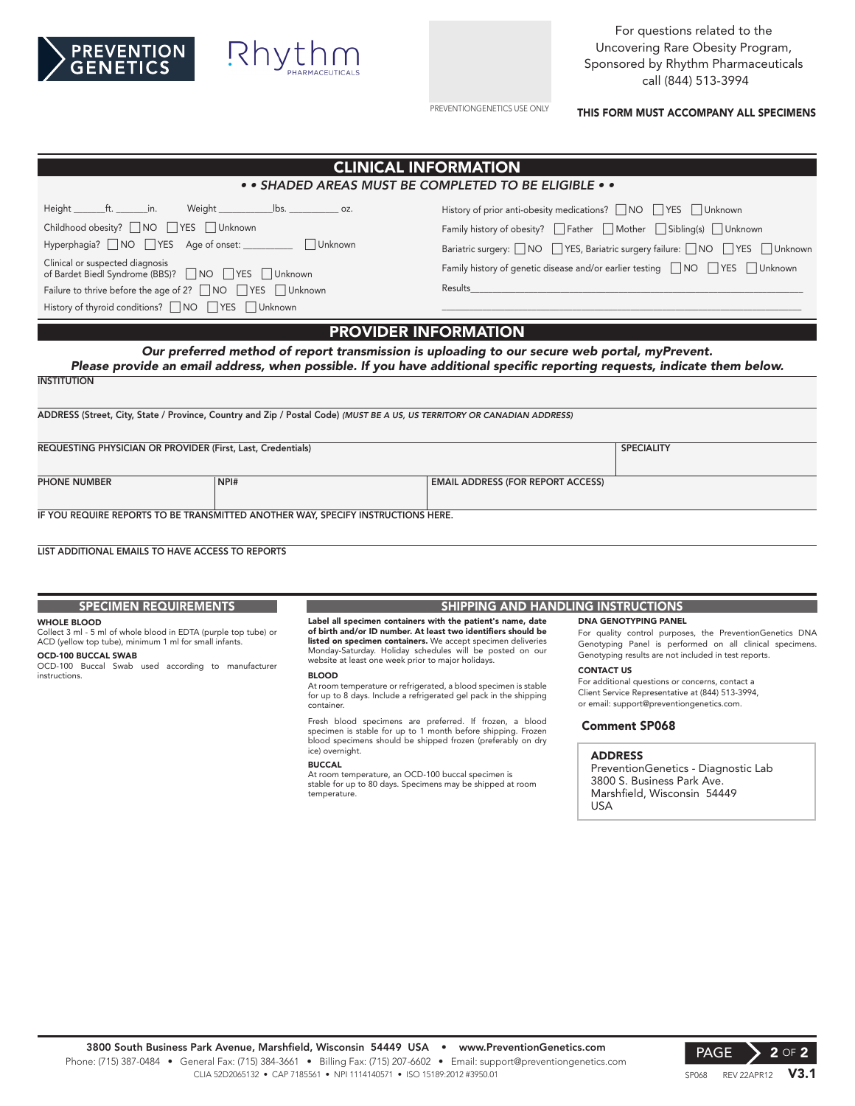



For questions related to the Uncovering Rare Obesity Program, Sponsored by Rhythm Pharmaceuticals call (844) 513-3994

PREVENTIONGENETICS USE ONLY

THIS FORM MUST ACCOMPANY ALL SPECIMENS

| <b>CLINICAL INFORMATION</b>                                                                                                                                                                                                                                                                                                               |                                                                                                                                                                                                                           |                                                                                                                                                                                 |                                                                                                                                                                                                         |  |  |
|-------------------------------------------------------------------------------------------------------------------------------------------------------------------------------------------------------------------------------------------------------------------------------------------------------------------------------------------|---------------------------------------------------------------------------------------------------------------------------------------------------------------------------------------------------------------------------|---------------------------------------------------------------------------------------------------------------------------------------------------------------------------------|---------------------------------------------------------------------------------------------------------------------------------------------------------------------------------------------------------|--|--|
| • • SHADED AREAS MUST BE COMPLETED TO BE ELIGIBLE • •                                                                                                                                                                                                                                                                                     |                                                                                                                                                                                                                           |                                                                                                                                                                                 |                                                                                                                                                                                                         |  |  |
| Height ft. in. Weight lbs. 202.<br>Childhood obesity? NO TYES TUnknown<br>Hyperphagia? NO VES Age of onset: Unknown<br>Clinical or suspected diagnosis<br>of Bardet Biedl Syndrome (BBS)? NO VES Unknown<br>Failure to thrive before the age of 2? $\Box$ NO $\Box$ YES $\Box$ Unknown<br>History of thyroid conditions? NO TYES JUnknown |                                                                                                                                                                                                                           | History of prior anti-obesity medications? NO TYES Unknown<br>Family history of obesity? $\Box$ Father $\Box$ Mother $\Box$ Sibling(s) $\Box$ Unknown<br><b>Results Results</b> | Bariatric surgery: $\Box$ NO $\Box$ YES, Bariatric surgery failure: $\Box$ NO $\Box$ YES $\Box$ Unknown<br>Family history of genetic disease and/or earlier testing $\Box$ NO $\Box$ YES $\Box$ Unknown |  |  |
| <b>INSTITUTION</b>                                                                                                                                                                                                                                                                                                                        | Our preferred method of report transmission is uploading to our secure web portal, myPrevent.<br>Please provide an email address, when possible. If you have additional specific reporting requests, indicate them below. | <b>PROVIDER INFORMATION</b>                                                                                                                                                     |                                                                                                                                                                                                         |  |  |
| ADDRESS (Street, City, State / Province, Country and Zip / Postal Code) (MUST BE A US, US TERRITORY OR CANADIAN ADDRESS)                                                                                                                                                                                                                  |                                                                                                                                                                                                                           |                                                                                                                                                                                 |                                                                                                                                                                                                         |  |  |
| REQUESTING PHYSICIAN OR PROVIDER (First, Last, Credentials)                                                                                                                                                                                                                                                                               |                                                                                                                                                                                                                           |                                                                                                                                                                                 | <b>SPECIALITY</b>                                                                                                                                                                                       |  |  |
| <b>PHONE NUMBER</b>                                                                                                                                                                                                                                                                                                                       | NPI#                                                                                                                                                                                                                      | <b>EMAIL ADDRESS (FOR REPORT ACCESS)</b>                                                                                                                                        |                                                                                                                                                                                                         |  |  |
|                                                                                                                                                                                                                                                                                                                                           | IF YOU REQUIRE REPORTS TO BE TRANSMITTED ANOTHER WAY, SPECIFY INSTRUCTIONS HERE.                                                                                                                                          |                                                                                                                                                                                 |                                                                                                                                                                                                         |  |  |
| LIST ADDITIONAL EMAILS TO HAVE ACCESS TO REPORTS                                                                                                                                                                                                                                                                                          |                                                                                                                                                                                                                           |                                                                                                                                                                                 |                                                                                                                                                                                                         |  |  |

### SPECIMEN REQUIREMENTS

#### WHOLE BLOOD

# Collect 3 ml - 5 ml of whole blood in EDTA (purple top tube) or ACD (yellow top tube), minimum 1 ml for small infants.

OCD-100 BUCCAL SWAB

OCD-100 Buccal Swab used according to manufacturer instructions.

#### Label all specimen containers with the patient's name, date of birth and/or ID number. At least two identifiers should be listed on specimen containers. We accept specimen deliveries Monday-Saturday. Holiday schedules will be posted on our website at least one week prior to major holidays.

BLOOD

At room temperature or refrigerated, a blood specimen is stable for up to 8 days. Include a refrigerated gel pack in the shipping container.

Fresh blood specimens are preferred. If frozen, a blood specimen is stable for up to 1 month before shipping. Frozen blood specimens should be shipped frozen (preferably on dry ice) overnight.

#### BUCCAL

At room temperature, an OCD-100 buccal specimen is stable for up to 80 days. Specimens may be shipped at room temperature.

#### SHIPPING AND HANDLING INSTRUCTIONS

#### DNA GENOTYPING PANEL

For quality control purposes, the PreventionGenetics DNA Genotyping Panel is performed on all clinical specimens. Genotyping results are not included in test reports.

#### CONTACT US

For additional questions or concerns, contact a Client Service Representative at (844) 513-3994, or email: support@preventiongenetics.com.

#### Comment SP068

#### ADDRESS

PreventionGenetics - Diagnostic Lab 3800 S. Business Park Ave. Marshfield, Wisconsin 54449 USA

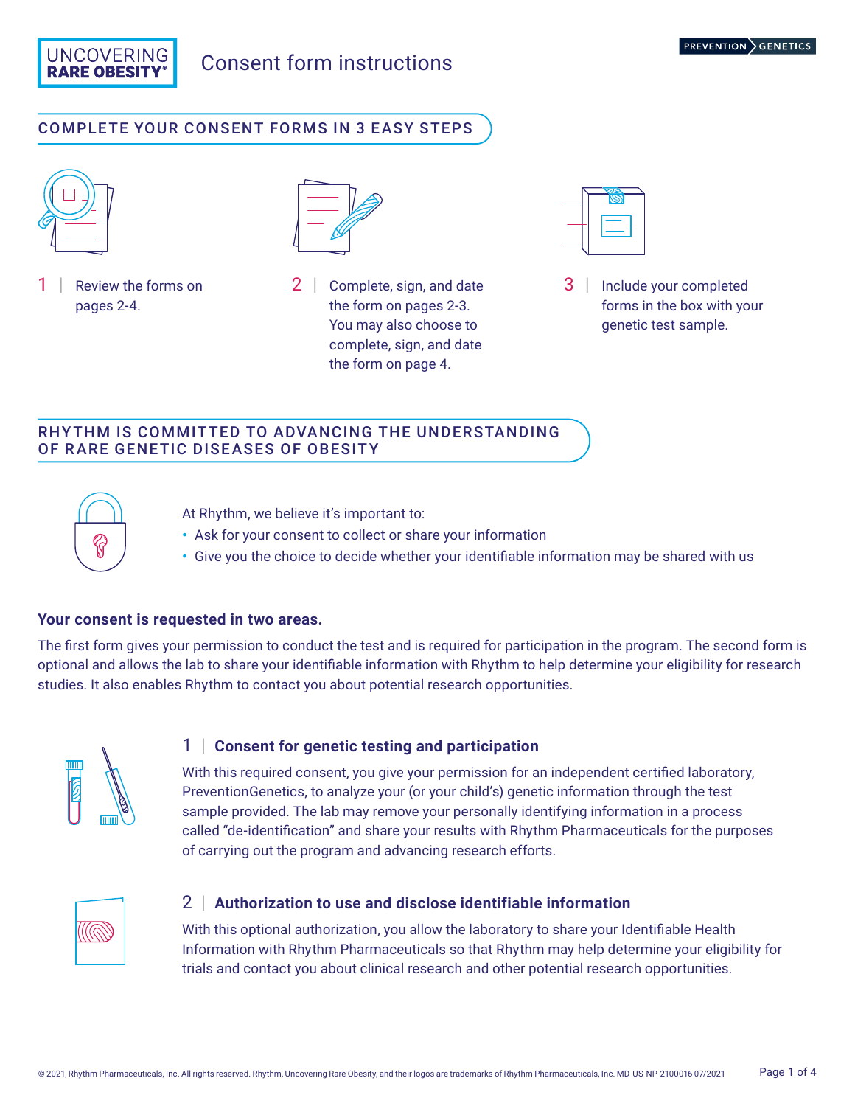

# Consent form instructions

## COMPLETE YOUR CONSENT FORMS IN 3 EASY STEPS



Review the forms on pages 2-4.



2 | Complete, sign, and date the form on pages 2-3. You may also choose to complete, sign, and date the form on page 4.



3 | Include your completed forms in the box with your genetic test sample.

## RHYTHM IS COMMITTED TO ADVANCING THE UNDERSTANDING OF RARE GENETIC DISEASES OF OBESITY



At Rhythm, we believe it's important to:

- **•** Ask for your consent to collect or share your information
- **•** Give you the choice to decide whether your identifiable information may be shared with us

### **Your consent is requested in two areas.**

The first form gives your permission to conduct the test and is required for participation in the program. The second form is optional and allows the lab to share your identifiable information with Rhythm to help determine your eligibility for research studies. It also enables Rhythm to contact you about potential research opportunities.



### 1 | **Consent for genetic testing and participation**

With this required consent, you give your permission for an independent certified laboratory, PreventionGenetics, to analyze your (or your child's) genetic information through the test sample provided. The lab may remove your personally identifying information in a process called "de-identification" and share your results with Rhythm Pharmaceuticals for the purposes of carrying out the program and advancing research efforts.



### 2 | **Authorization to use and disclose identifiable information**

With this optional authorization, you allow the laboratory to share your Identifiable Health Information with Rhythm Pharmaceuticals so that Rhythm may help determine your eligibility for trials and contact you about clinical research and other potential research opportunities.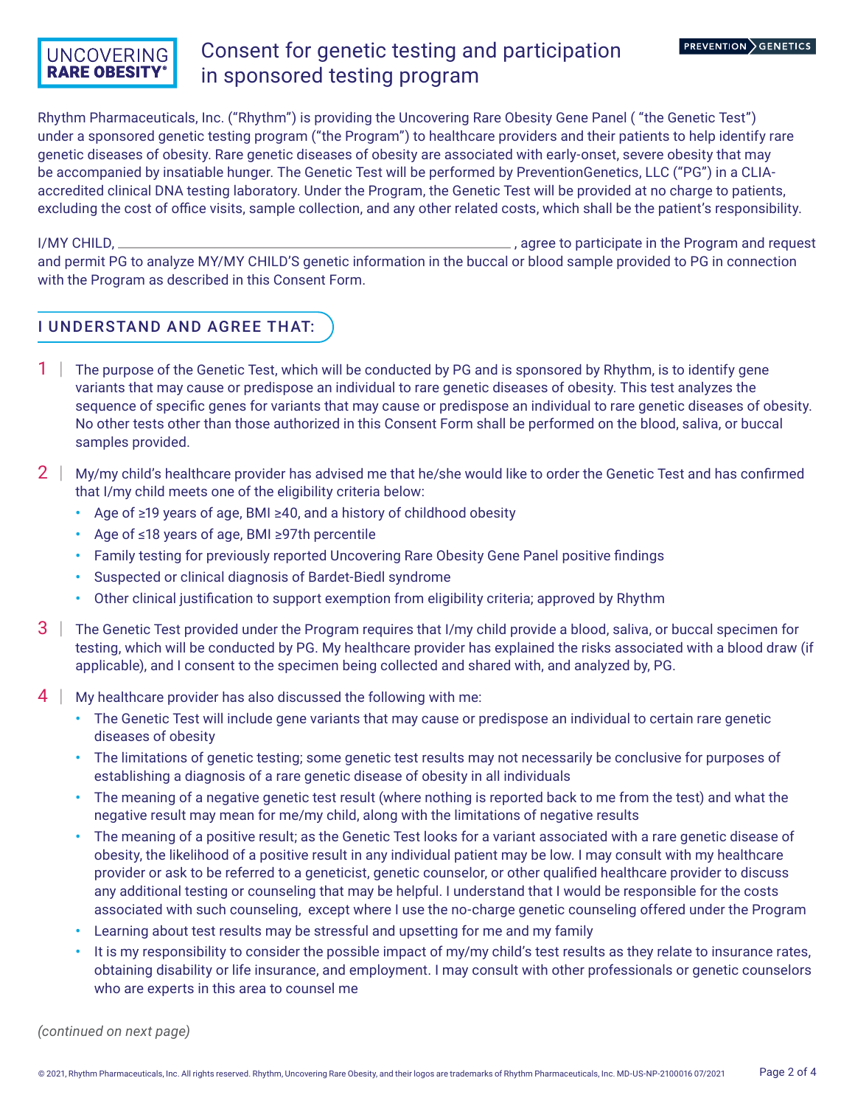## **UNCOVERING RARE OBESITY**

# Consent for genetic testing and participation in sponsored testing program

Rhythm Pharmaceuticals, Inc. ("Rhythm") is providing the Uncovering Rare Obesity Gene Panel ( "the Genetic Test") under a sponsored genetic testing program ("the Program") to healthcare providers and their patients to help identify rare genetic diseases of obesity. Rare genetic diseases of obesity are associated with early-onset, severe obesity that may be accompanied by insatiable hunger. The Genetic Test will be performed by PreventionGenetics, LLC ("PG") in a CLIAaccredited clinical DNA testing laboratory. Under the Program, the Genetic Test will be provided at no charge to patients, excluding the cost of office visits, sample collection, and any other related costs, which shall be the patient's responsibility.

I/MY CHILD, , agree to participate in the Program and request and permit PG to analyze MY/MY CHILD'S genetic information in the buccal or blood sample provided to PG in connection with the Program as described in this Consent Form.

## I UNDERSTAND AND AGREE THAT:

- 1 | The purpose of the Genetic Test, which will be conducted by PG and is sponsored by Rhythm, is to identify gene variants that may cause or predispose an individual to rare genetic diseases of obesity. This test analyzes the sequence of specific genes for variants that may cause or predispose an individual to rare genetic diseases of obesity. No other tests other than those authorized in this Consent Form shall be performed on the blood, saliva, or buccal samples provided.
- $2 \mid$  My/my child's healthcare provider has advised me that he/she would like to order the Genetic Test and has confirmed that I/my child meets one of the eligibility criteria below:
	- **•** Age of ≥19 years of age, BMI ≥40, and a history of childhood obesity
	- **•** Age of ≤18 years of age, BMI ≥97th percentile
	- **•** Family testing for previously reported Uncovering Rare Obesity Gene Panel positive findings
	- **•** Suspected or clinical diagnosis of Bardet-Biedl syndrome
	- **•** Other clinical justification to support exemption from eligibility criteria; approved by Rhythm
- $3$  | The Genetic Test provided under the Program requires that I/my child provide a blood, saliva, or buccal specimen for testing, which will be conducted by PG. My healthcare provider has explained the risks associated with a blood draw (if applicable), and I consent to the specimen being collected and shared with, and analyzed by, PG.
- 4 | My healthcare provider has also discussed the following with me:
	- **•** The Genetic Test will include gene variants that may cause or predispose an individual to certain rare genetic diseases of obesity
	- **•** The limitations of genetic testing; some genetic test results may not necessarily be conclusive for purposes of establishing a diagnosis of a rare genetic disease of obesity in all individuals
	- **•** The meaning of a negative genetic test result (where nothing is reported back to me from the test) and what the negative result may mean for me/my child, along with the limitations of negative results
	- **•** The meaning of a positive result; as the Genetic Test looks for a variant associated with a rare genetic disease of obesity, the likelihood of a positive result in any individual patient may be low. I may consult with my healthcare provider or ask to be referred to a geneticist, genetic counselor, or other qualified healthcare provider to discuss any additional testing or counseling that may be helpful. I understand that I would be responsible for the costs associated with such counseling, except where I use the no-charge genetic counseling offered under the Program
	- **•** Learning about test results may be stressful and upsetting for me and my family
	- **•** It is my responsibility to consider the possible impact of my/my child's test results as they relate to insurance rates, obtaining disability or life insurance, and employment. I may consult with other professionals or genetic counselors who are experts in this area to counsel me

*(continued on next page)*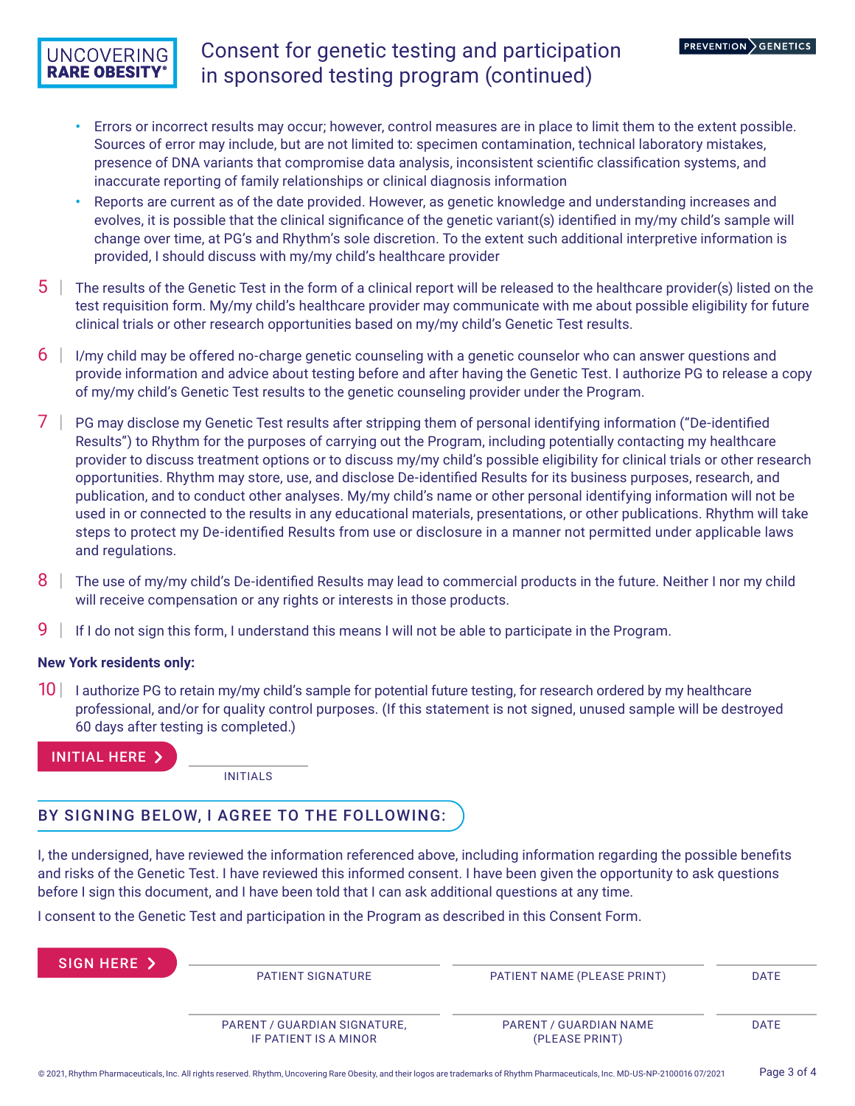## **UNCOVERING RARE OBESITY**

# Consent for genetic testing and participation in sponsored testing program (continued)

- **•** Errors or incorrect results may occur; however, control measures are in place to limit them to the extent possible. Sources of error may include, but are not limited to: specimen contamination, technical laboratory mistakes, presence of DNA variants that compromise data analysis, inconsistent scientific classification systems, and inaccurate reporting of family relationships or clinical diagnosis information
- **•** Reports are current as of the date provided. However, as genetic knowledge and understanding increases and evolves, it is possible that the clinical significance of the genetic variant(s) identified in my/my child's sample will change over time, at PG's and Rhythm's sole discretion. To the extent such additional interpretive information is provided, I should discuss with my/my child's healthcare provider
- $5 \mid$  The results of the Genetic Test in the form of a clinical report will be released to the healthcare provider(s) listed on the test requisition form. My/my child's healthcare provider may communicate with me about possible eligibility for future clinical trials or other research opportunities based on my/my child's Genetic Test results.
- $6$  | I/my child may be offered no-charge genetic counseling with a genetic counselor who can answer questions and provide information and advice about testing before and after having the Genetic Test. I authorize PG to release a copy of my/my child's Genetic Test results to the genetic counseling provider under the Program.
- 7 | PG may disclose my Genetic Test results after stripping them of personal identifying information ("De-identified Results") to Rhythm for the purposes of carrying out the Program, including potentially contacting my healthcare provider to discuss treatment options or to discuss my/my child's possible eligibility for clinical trials or other research opportunities. Rhythm may store, use, and disclose De-identified Results for its business purposes, research, and publication, and to conduct other analyses. My/my child's name or other personal identifying information will not be used in or connected to the results in any educational materials, presentations, or other publications. Rhythm will take steps to protect my De-identified Results from use or disclosure in a manner not permitted under applicable laws and regulations.
- $8$  | The use of my/my child's De-identified Results may lead to commercial products in the future. Neither I nor my child will receive compensation or any rights or interests in those products.
- 9 | If I do not sign this form, I understand this means I will not be able to participate in the Program.

### **New York residents only:**

10 | I authorize PG to retain my/my child's sample for potential future testing, for research ordered by my healthcare professional, and/or for quality control purposes. (If this statement is not signed, unused sample will be destroyed 60 days after testing is completed.)

INITIAL HERE

INITIALS

## BY SIGNING BELOW, I AGREE TO THE FOLLOWING:

I, the undersigned, have reviewed the information referenced above, including information regarding the possible benefits and risks of the Genetic Test. I have reviewed this informed consent. I have been given the opportunity to ask questions before I sign this document, and I have been told that I can ask additional questions at any time.

I consent to the Genetic Test and participation in the Program as described in this Consent Form.

| SIGN HERE > |                                                       |                                          |             |
|-------------|-------------------------------------------------------|------------------------------------------|-------------|
|             | PATIENT SIGNATURE                                     | PATIENT NAME (PLEASE PRINT)              | <b>DATE</b> |
|             |                                                       |                                          |             |
|             | PARENT / GUARDIAN SIGNATURE,<br>IF PATIENT IS A MINOR | PARENT / GUARDIAN NAME<br>(PLEASE PRINT) | <b>DATE</b> |